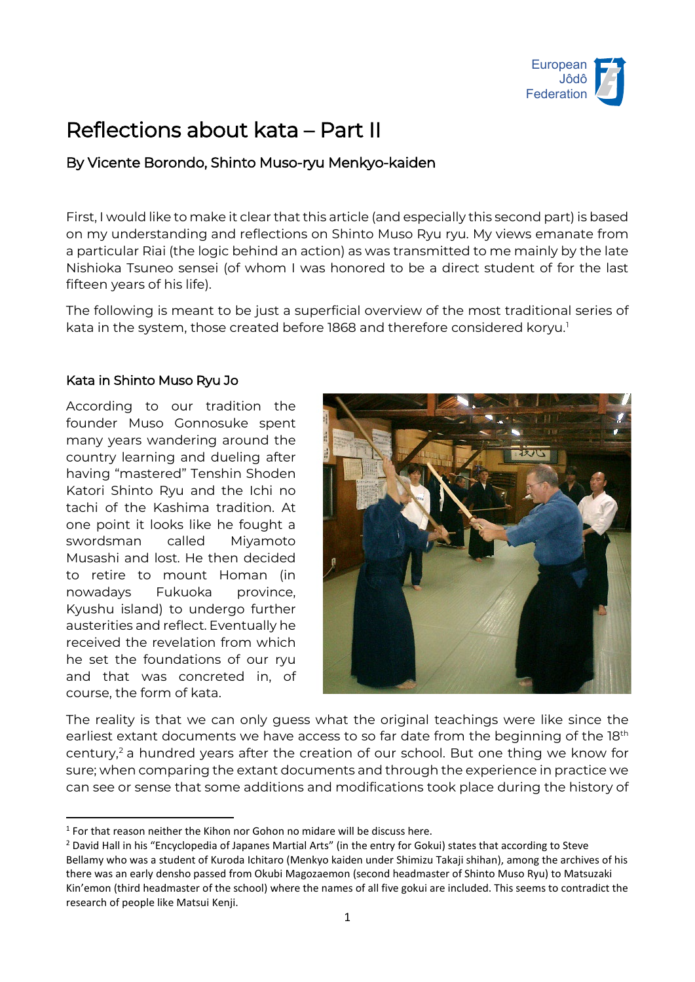

# Reflections about kata – Part II

# By Vicente Borondo, Shinto Muso-ryu Menkyo-kaiden

First, I would like to make it clear that this article (and especially this second part) is based on my understanding and reflections on Shinto Muso Ryu ryu. My views emanate from a particular Riai (the logic behind an action) as was transmitted to me mainly by the late Nishioka Tsuneo sensei (of whom I was honored to be a direct student of for the last fifteen years of his life).

The following is meant to be just a superficial overview of the most traditional series of kata in the system, those created before [1](#page-0-0)868 and therefore considered koryu.<sup>1</sup>

# Kata in Shinto Muso Ryu Jo

According to our tradition the founder Muso Gonnosuke spent many years wandering around the country learning and dueling after having "mastered" Tenshin Shoden Katori Shinto Ryu and the Ichi no tachi of the Kashima tradition. At one point it looks like he fought a swordsman called Miyamoto Musashi and lost. He then decided to retire to mount Homan (in nowadays Fukuoka province, Kyushu island) to undergo further austerities and reflect. Eventually he received the revelation from which he set the foundations of our ryu and that was concreted in, of course, the form of kata.



The reality is that we can only guess what the original teachings were like since the earliest extant documents we have access to so far date from the beginning of the 18<sup>th</sup> century, [2](#page-0-1) a hundred years after the creation of our school. But one thing we know for sure; when comparing the extant documents and through the experience in practice we can see or sense that some additions and modifications took place during the history of

<span id="page-0-0"></span> $1$  For that reason neither the Kihon nor Gohon no midare will be discuss here.

<span id="page-0-1"></span><sup>&</sup>lt;sup>2</sup> David Hall in his "Encyclopedia of Japanes Martial Arts" (in the entry for Gokui) states that according to Steve Bellamy who was a student of Kuroda Ichitaro (Menkyo kaiden under Shimizu Takaji shihan), among the archives of his there was an early densho passed from Okubi Magozaemon (second headmaster of Shinto Muso Ryu) to Matsuzaki Kin'emon (third headmaster of the school) where the names of all five gokui are included. This seems to contradict the research of people like Matsui Kenji.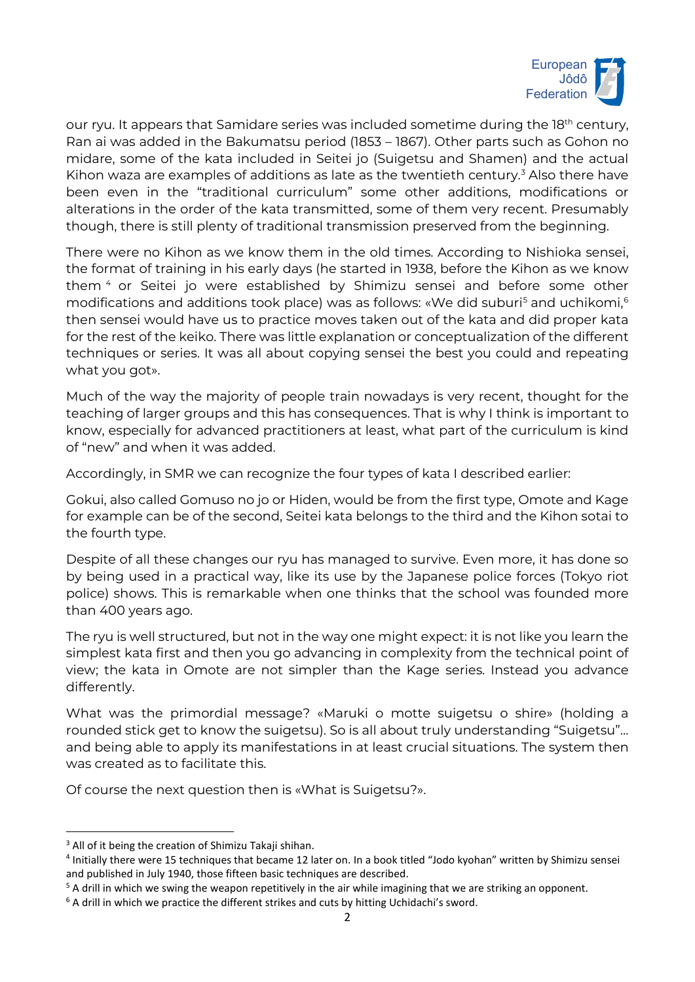

our ryu. It appears that Samidare series was included sometime during the  $18<sup>th</sup>$  century, Ran ai was added in the Bakumatsu period (1853 – 1867). Other parts such as Gohon no midare, some of the kata included in Seitei jo (Suigetsu and Shamen) and the actual Kihon waza are examples of additions as late as the twentieth century.<sup>[3](#page-1-0)</sup> Also there have been even in the "traditional curriculum" some other additions, modifications or alterations in the order of the kata transmitted, some of them very recent. Presumably though, there is still plenty of traditional transmission preserved from the beginning.

There were no Kihon as we know them in the old times. According to Nishioka sensei, the format of training in his early days (he started in 1938, before the Kihon as we know them [4](#page-1-1) or Seitei jo were established by Shimizu sensei and before some other modifications and additions took place) was as follows: «We did suburi<sup>s</sup> and uchikomi,  $6$ then sensei would have us to practice moves taken out of the kata and did proper kata for the rest of the keiko. There was little explanation or conceptualization of the different techniques or series. It was all about copying sensei the best you could and repeating what you got».

Much of the way the majority of people train nowadays is very recent, thought for the teaching of larger groups and this has consequences. That is why I think is important to know, especially for advanced practitioners at least, what part of the curriculum is kind of "new" and when it was added.

Accordingly, in SMR we can recognize the four types of kata I described earlier:

Gokui, also called Gomuso no jo or Hiden, would be from the first type, Omote and Kage for example can be of the second, Seitei kata belongs to the third and the Kihon sotai to the fourth type.

Despite of all these changes our ryu has managed to survive. Even more, it has done so by being used in a practical way, like its use by the Japanese police forces (Tokyo riot police) shows. This is remarkable when one thinks that the school was founded more than 400 years ago.

The ryu is well structured, but not in the way one might expect: it is not like you learn the simplest kata first and then you go advancing in complexity from the technical point of view; the kata in Omote are not simpler than the Kage series. Instead you advance differently.

What was the primordial message? «Maruki o motte suigetsu o shire» (holding a rounded stick get to know the suigetsu). So is all about truly understanding "Suigetsu"… and being able to apply its manifestations in at least crucial situations. The system then was created as to facilitate this.

Of course the next question then is «What is Suigetsu?».

<span id="page-1-0"></span><sup>&</sup>lt;sup>3</sup> All of it being the creation of Shimizu Takaji shihan.

<span id="page-1-1"></span><sup>4</sup> Initially there were 15 techniques that became 12 later on. In a book titled "Jodo kyohan" written by Shimizu sensei and published in July 1940, those fifteen basic techniques are described.

<span id="page-1-2"></span><sup>&</sup>lt;sup>5</sup> A drill in which we swing the weapon repetitively in the air while imagining that we are striking an opponent.

<span id="page-1-3"></span><sup>&</sup>lt;sup>6</sup> A drill in which we practice the different strikes and cuts by hitting Uchidachi's sword.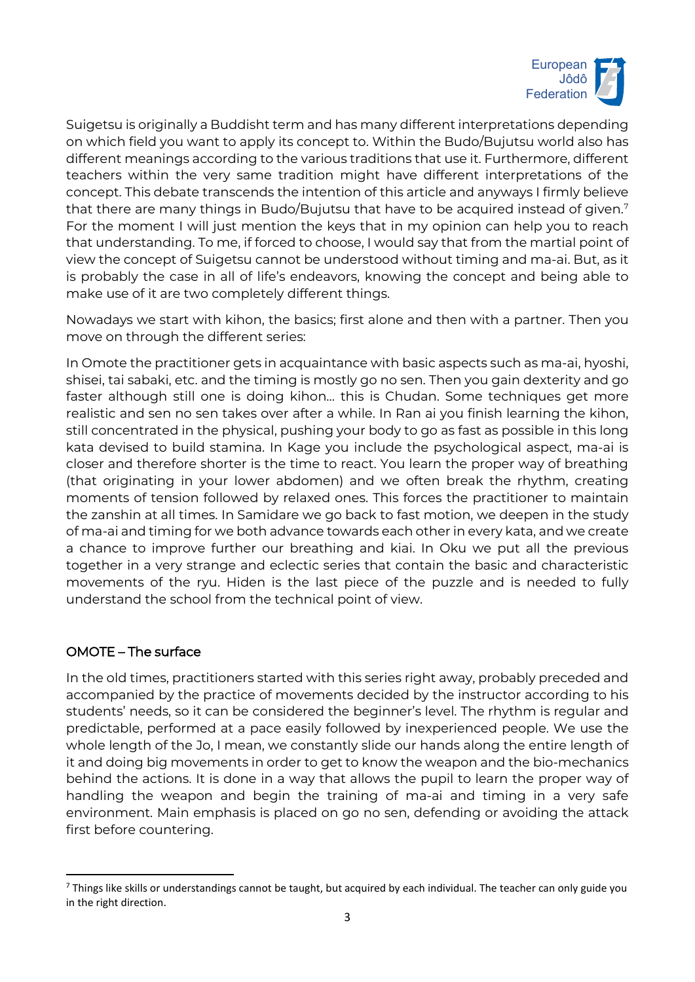

Suigetsu is originally a Buddisht term and has many different interpretations depending on which field you want to apply its concept to. Within the Budo/Bujutsu world also has different meanings according to the various traditions that use it. Furthermore, different teachers within the very same tradition might have different interpretations of the concept. This debate transcends the intention of this article and anyways I firmly believe that there are many things in Budo/Bujutsu that have to be acquired instead of given. $^7$  $^7$ For the moment I will just mention the keys that in my opinion can help you to reach that understanding. To me, if forced to choose, I would say that from the martial point of view the concept of Suigetsu cannot be understood without timing and ma-ai. But, as it is probably the case in all of life's endeavors, knowing the concept and being able to make use of it are two completely different things.

Nowadays we start with kihon, the basics; first alone and then with a partner. Then you move on through the different series:

In Omote the practitioner gets in acquaintance with basic aspects such as ma-ai, hyoshi, shisei, tai sabaki, etc. and the timing is mostly go no sen. Then you gain dexterity and go faster although still one is doing kihon... this is Chudan. Some techniques get more realistic and sen no sen takes over after a while. In Ran ai you finish learning the kihon, still concentrated in the physical, pushing your body to go as fast as possible in this long kata devised to build stamina. In Kage you include the psychological aspect, ma-ai is closer and therefore shorter is the time to react. You learn the proper way of breathing (that originating in your lower abdomen) and we often break the rhythm, creating moments of tension followed by relaxed ones. This forces the practitioner to maintain the zanshin at all times. In Samidare we go back to fast motion, we deepen in the study of ma-ai and timing for we both advance towards each other in every kata, and we create a chance to improve further our breathing and kiai. In Oku we put all the previous together in a very strange and eclectic series that contain the basic and characteristic movements of the ryu. Hiden is the last piece of the puzzle and is needed to fully understand the school from the technical point of view.

#### OMOTE – The surface

In the old times, practitioners started with this series right away, probably preceded and accompanied by the practice of movements decided by the instructor according to his students' needs, so it can be considered the beginner's level. The rhythm is regular and predictable, performed at a pace easily followed by inexperienced people. We use the whole length of the Jo, I mean, we constantly slide our hands along the entire length of it and doing big movements in order to get to know the weapon and the bio-mechanics behind the actions. It is done in a way that allows the pupil to learn the proper way of handling the weapon and begin the training of ma-ai and timing in a very safe environment. Main emphasis is placed on go no sen, defending or avoiding the attack first before countering.

<span id="page-2-0"></span><sup>&</sup>lt;sup>7</sup> Things like skills or understandings cannot be taught, but acquired by each individual. The teacher can only guide you in the right direction.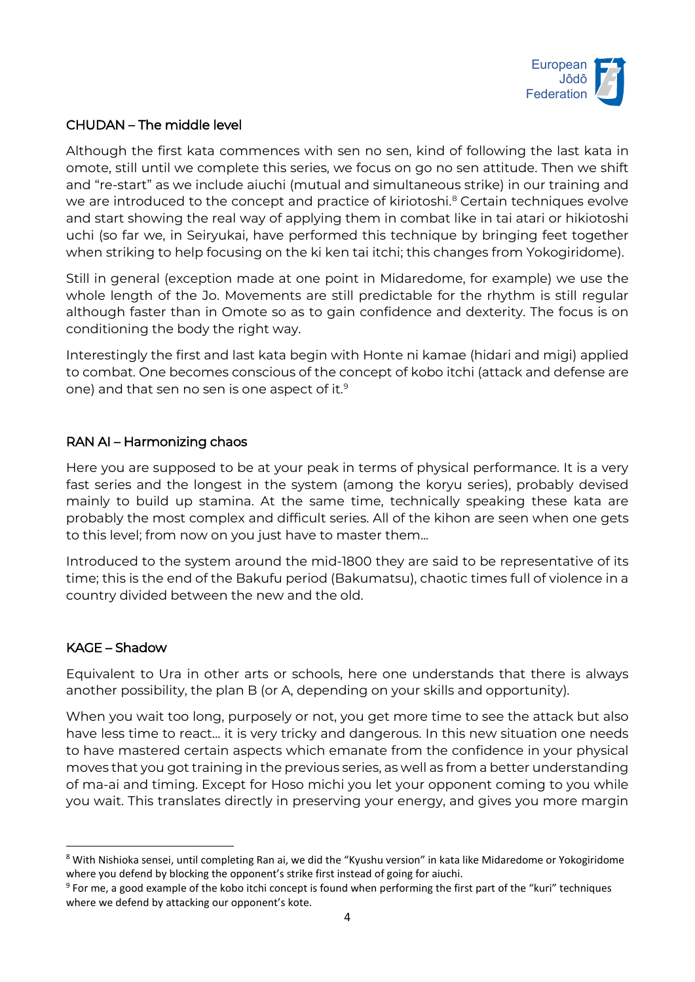

# CHUDAN – The middle level

Although the first kata commences with sen no sen, kind of following the last kata in omote, still until we complete this series, we focus on go no sen attitude. Then we shift and "re-start" as we include aiuchi (mutual and simultaneous strike) in our training and we are introduced to the concept and practice of kiriotoshi. [8](#page-3-0) Certain techniques evolve and start showing the real way of applying them in combat like in tai atari or hikiotoshi uchi (so far we, in Seiryukai, have performed this technique by bringing feet together when striking to help focusing on the ki ken tai itchi; this changes from Yokogiridome).

Still in general (exception made at one point in Midaredome, for example) we use the whole length of the Jo. Movements are still predictable for the rhythm is still regular although faster than in Omote so as to gain confidence and dexterity. The focus is on conditioning the body the right way.

Interestingly the first and last kata begin with Honte ni kamae (hidari and migi) applied to combat. One becomes conscious of the concept of kobo itchi (attack and defense are one) and that sen no sen is one aspect of it. [9](#page-3-1)

# RAN AI – Harmonizing chaos

Here you are supposed to be at your peak in terms of physical performance. It is a very fast series and the longest in the system (among the koryu series), probably devised mainly to build up stamina. At the same time, technically speaking these kata are probably the most complex and difficult series. All of the kihon are seen when one gets to this level; from now on you just have to master them...

Introduced to the system around the mid-1800 they are said to be representative of its time; this is the end of the Bakufu period (Bakumatsu), chaotic times full of violence in a country divided between the new and the old.

#### KAGE – Shadow

Equivalent to Ura in other arts or schools, here one understands that there is always another possibility, the plan B (or A, depending on your skills and opportunity).

When you wait too long, purposely or not, you get more time to see the attack but also have less time to react… it is very tricky and dangerous. In this new situation one needs to have mastered certain aspects which emanate from the confidence in your physical moves that you got training in the previous series, as well as from a better understanding of ma-ai and timing. Except for Hoso michi you let your opponent coming to you while you wait. This translates directly in preserving your energy, and gives you more margin

<span id="page-3-0"></span><sup>&</sup>lt;sup>8</sup> With Nishioka sensei, until completing Ran ai, we did the "Kyushu version" in kata like Midaredome or Yokogiridome where you defend by blocking the opponent's strike first instead of going for aiuchi.

<span id="page-3-1"></span><sup>&</sup>lt;sup>9</sup> For me, a good example of the kobo itchi concept is found when performing the first part of the "kuri" techniques where we defend by attacking our opponent's kote.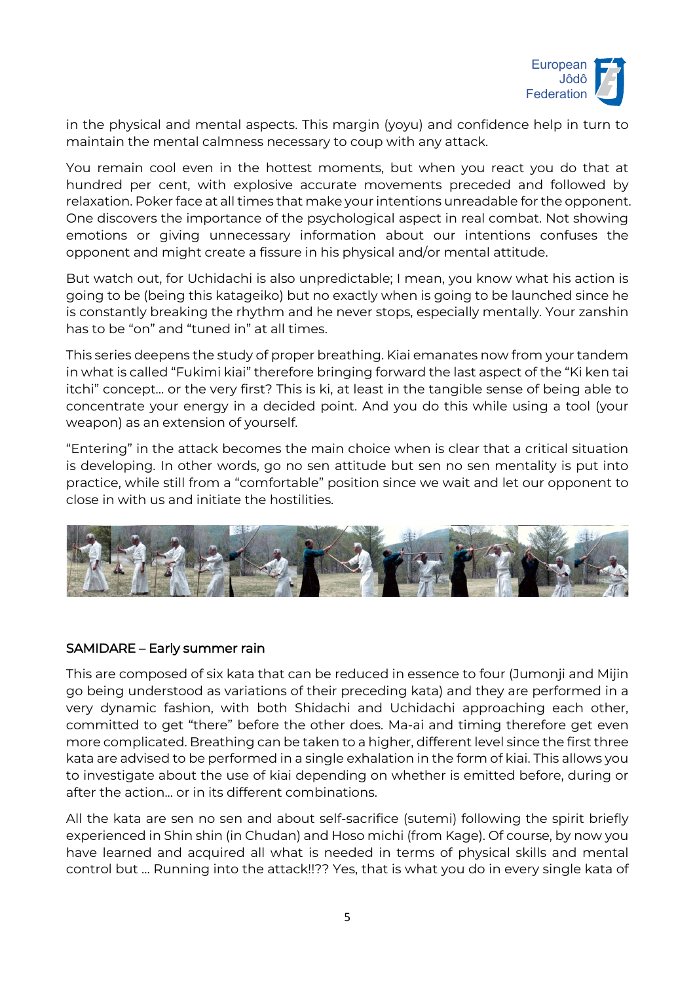

in the physical and mental aspects. This margin (yoyu) and confidence help in turn to maintain the mental calmness necessary to coup with any attack.

You remain cool even in the hottest moments, but when you react you do that at hundred per cent, with explosive accurate movements preceded and followed by relaxation. Poker face at all times that make your intentions unreadable for the opponent. One discovers the importance of the psychological aspect in real combat. Not showing emotions or giving unnecessary information about our intentions confuses the opponent and might create a fissure in his physical and/or mental attitude.

But watch out, for Uchidachi is also unpredictable; I mean, you know what his action is going to be (being this katageiko) but no exactly when is going to be launched since he is constantly breaking the rhythm and he never stops, especially mentally. Your zanshin has to be "on" and "tuned in" at all times.

This series deepens the study of proper breathing. Kiai emanates now from your tandem in what is called "Fukimi kiai" therefore bringing forward the last aspect of the "Ki ken tai itchi" concept… or the very first? This is ki, at least in the tangible sense of being able to concentrate your energy in a decided point. And you do this while using a tool (your weapon) as an extension of yourself.

"Entering" in the attack becomes the main choice when is clear that a critical situation is developing. In other words, go no sen attitude but sen no sen mentality is put into practice, while still from a "comfortable" position since we wait and let our opponent to close in with us and initiate the hostilities.



#### SAMIDARE – Early summer rain

This are composed of six kata that can be reduced in essence to four (Jumonji and Mijin go being understood as variations of their preceding kata) and they are performed in a very dynamic fashion, with both Shidachi and Uchidachi approaching each other, committed to get "there" before the other does. Ma-ai and timing therefore get even more complicated. Breathing can be taken to a higher, different level since the first three kata are advised to be performed in a single exhalation in the form of kiai. This allows you to investigate about the use of kiai depending on whether is emitted before, during or after the action... or in its different combinations.

All the kata are sen no sen and about self-sacrifice (sutemi) following the spirit briefly experienced in Shin shin (in Chudan) and Hoso michi (from Kage). Of course, by now you have learned and acquired all what is needed in terms of physical skills and mental control but … Running into the attack!!?? Yes, that is what you do in every single kata of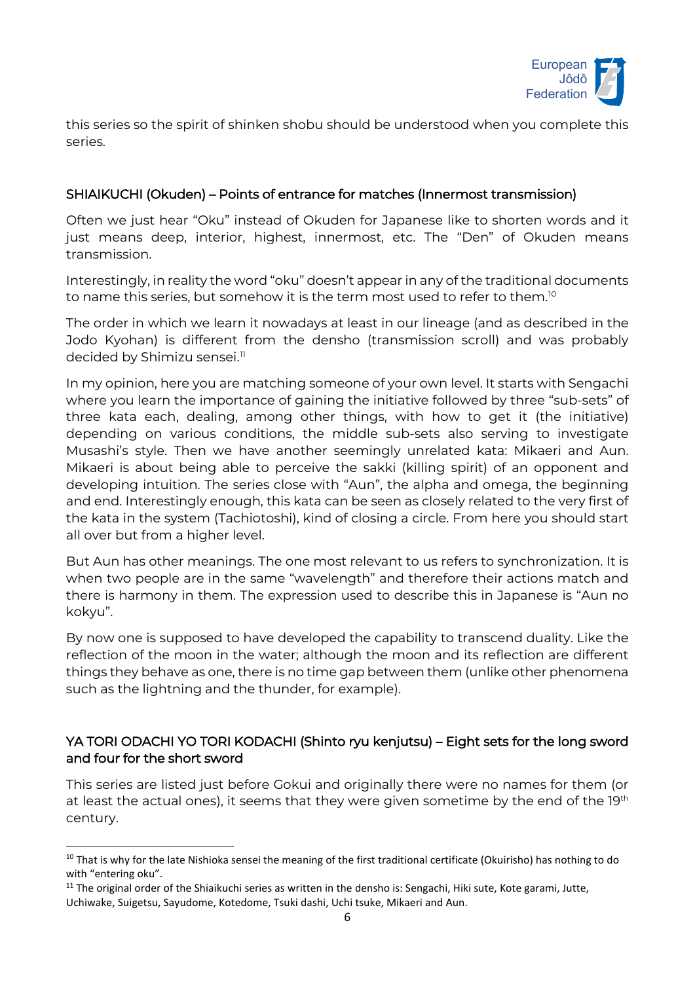

this series so the spirit of shinken shobu should be understood when you complete this series.

# SHIAIKUCHI (Okuden) – Points of entrance for matches (Innermost transmission)

Often we just hear "Oku" instead of Okuden for Japanese like to shorten words and it just means deep, interior, highest, innermost, etc. The "Den" of Okuden means transmission.

Interestingly, in reality the word "oku" doesn't appear in any of the traditional documents to name this series, but somehow it is the term most used to refer to them. $^{\text{\tiny{IO}}}$ 

The order in which we learn it nowadays at least in our lineage (and as described in the Jodo Kyohan) is different from the densho (transmission scroll) and was probably decided by Shimizu sensei. [11](#page-5-1)

In my opinion, here you are matching someone of your own level. It starts with Sengachi where you learn the importance of gaining the initiative followed by three "sub-sets" of three kata each, dealing, among other things, with how to get it (the initiative) depending on various conditions, the middle sub-sets also serving to investigate Musashi's style. Then we have another seemingly unrelated kata: Mikaeri and Aun. Mikaeri is about being able to perceive the sakki (killing spirit) of an opponent and developing intuition. The series close with "Aun", the alpha and omega, the beginning and end. Interestingly enough, this kata can be seen as closely related to the very first of the kata in the system (Tachiotoshi), kind of closing a circle. From here you should start all over but from a higher level.

But Aun has other meanings. The one most relevant to us refers to synchronization. It is when two people are in the same "wavelength" and therefore their actions match and there is harmony in them. The expression used to describe this in Japanese is "Aun no kokyu".

By now one is supposed to have developed the capability to transcend duality. Like the reflection of the moon in the water; although the moon and its reflection are different things they behave as one, there is no time gap between them (unlike other phenomena such as the lightning and the thunder, for example).

# YA TORI ODACHI YO TORI KODACHI (Shinto ryu kenjutsu) – Eight sets for the long sword and four for the short sword

This series are listed just before Gokui and originally there were no names for them (or at least the actual ones), it seems that they were given sometime by the end of the 19<sup>th</sup> century.

<span id="page-5-0"></span><sup>&</sup>lt;sup>10</sup> That is why for the late Nishioka sensei the meaning of the first traditional certificate (Okuirisho) has nothing to do with "entering oku".

<span id="page-5-1"></span> $11$  The original order of the Shiaikuchi series as written in the densho is: Sengachi, Hiki sute, Kote garami, Jutte, Uchiwake, Suigetsu, Sayudome, Kotedome, Tsuki dashi, Uchi tsuke, Mikaeri and Aun.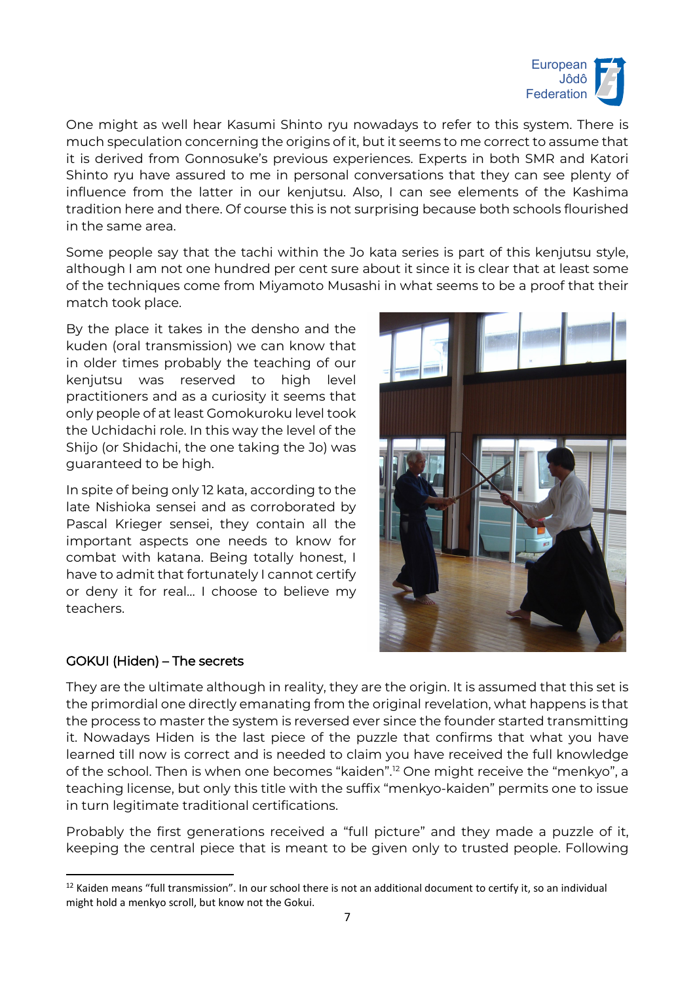

One might as well hear Kasumi Shinto ryu nowadays to refer to this system. There is much speculation concerning the origins of it, but it seems to me correct to assume that it is derived from Gonnosuke's previous experiences. Experts in both SMR and Katori Shinto ryu have assured to me in personal conversations that they can see plenty of influence from the latter in our kenjutsu. Also, I can see elements of the Kashima tradition here and there. Of course this is not surprising because both schools flourished in the same area.

Some people say that the tachi within the Jo kata series is part of this kenjutsu style, although I am not one hundred per cent sure about it since it is clear that at least some of the techniques come from Miyamoto Musashi in what seems to be a proof that their match took place.

By the place it takes in the densho and the kuden (oral transmission) we can know that in older times probably the teaching of our kenjutsu was reserved to high level practitioners and as a curiosity it seems that only people of at least Gomokuroku level took the Uchidachi role. In this way the level of the Shijo (or Shidachi, the one taking the Jo) was guaranteed to be high.

In spite of being only 12 kata, according to the late Nishioka sensei and as corroborated by Pascal Krieger sensei, they contain all the important aspects one needs to know for combat with katana. Being totally honest, I have to admit that fortunately I cannot certify or deny it for real… I choose to believe my teachers.

# GOKUI (Hiden) – The secrets



They are the ultimate although in reality, they are the origin. It is assumed that this set is the primordial one directly emanating from the original revelation, what happens is that the process to master the system is reversed ever since the founder started transmitting it. Nowadays Hiden is the last piece of the puzzle that confirms that what you have learned till now is correct and is needed to claim you have received the full knowledge of the school. Then is when one becomes "kaiden". [12](#page-6-0) One might receive the "menkyo", a teaching license, but only this title with the suffix "menkyo-kaiden" permits one to issue in turn legitimate traditional certifications.

Probably the first generations received a "full picture" and they made a puzzle of it, keeping the central piece that is meant to be given only to trusted people. Following

<span id="page-6-0"></span><sup>&</sup>lt;sup>12</sup> Kaiden means "full transmission". In our school there is not an additional document to certify it, so an individual might hold a menkyo scroll, but know not the Gokui.